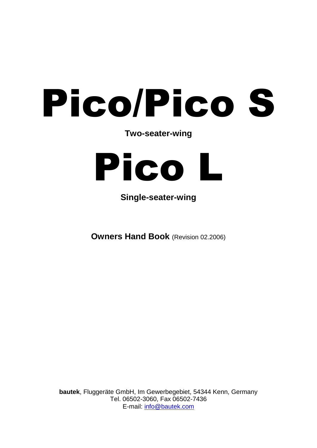# Pico/Pico S

**Two-seater-wing**



**Single-seater-wing**

**Owners Hand Book** (Revision 02.2006)

**bautek**, Fluggeräte GmbH, Im Gewerbegebiet, 54344 Kenn, Germany Tel. 06502-3060, Fax 06502-7436 E-mail: [info@bautek.com](mailto:info@bautek.com)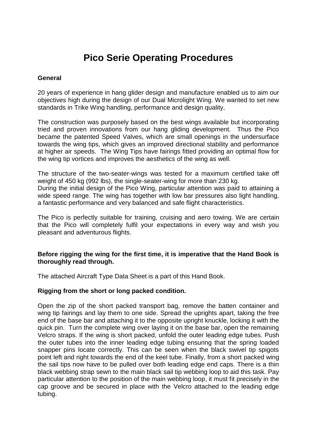# **Pico Serie Operating Procedures**

#### **General**

20 years of experience in hang glider design and manufacture enabled us to aim our objectives high during the design of our Dual Microlight Wing. We wanted to set new standards in Trike Wing handling, performance and design quality,

The construction was purposely based on the best wings available but incorporating tried and proven innovations from our hang gliding development. Thus the Pico became the patented Speed Valves, which are small openings in the undersurface towards the wing tips, which gives an improved directional stability and performance at higher air speeds. The Wing Tips have fairings fitted providing an optimal flow for the wing tip vortices and improves the aesthetics of the wing as well.

The structure of the two-seater-wings was tested for a maximum certified take off weight of 450 kg (992 lbs), the single-seater-wing for more than 230 kg. During the initial design of the Pico Wing, particular attention was paid to attaining a wide speed range. The wing has together with low bar pressures also light handling, a fantastic performance and very balanced and safe flight characteristics.

The Pico is perfectly suitable for training, cruising and aero towing. We are certain that the Pico will completely fulfil your expectations in every way and wish you pleasant and adventurous flights.

# **Before rigging the wing for the first time, it is imperative that the Hand Book is thoroughly read through.**

The attached Aircraft Type Data Sheet is a part of this Hand Book.

# **Rigging from the short or long packed condition.**

Open the zip of the short packed transport bag, remove the batten container and wing tip fairings and lay them to one side. Spread the uprights apart, taking the free end of the base bar and attaching it to the opposite upright knuckle, locking it with the quick pin. Turn the complete wing over laying it on the base bar, open the remaining Velcro straps. If the wing is short packed, unfold the outer leading edge tubes. Push the outer tubes into the inner leading edge tubing ensuring that the spring loaded snapper pins locate correctly. This can be seen when the black swivel tip spigots point left and right towards the end of the keel tube. Finally, from a short packed wing the sail tips now have to be pulled over both leading edge end caps. There is a thin black webbing strap sewn to the main black sail tip webbing loop to aid this task. Pay particular attention to the position of the main webbing loop, it must fit precisely in the cap groove and be secured in place with the Velcro attached to the leading edge tubing.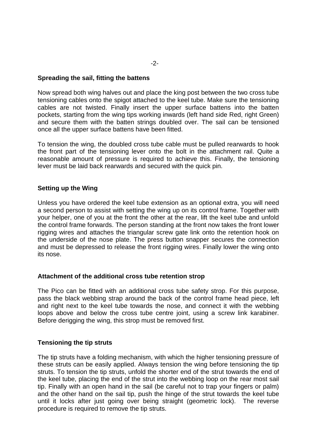#### **Spreading the sail, fitting the battens**

Now spread both wing halves out and place the king post between the two cross tube tensioning cables onto the spigot attached to the keel tube. Make sure the tensioning cables are not twisted. Finally insert the upper surface battens into the batten pockets, starting from the wing tips working inwards (left hand side Red, right Green) and secure them with the batten strings doubled over. The sail can be tensioned once all the upper surface battens have been fitted.

To tension the wing, the doubled cross tube cable must be pulled rearwards to hook the front part of the tensioning lever onto the bolt in the attachment rail. Quite a reasonable amount of pressure is required to achieve this. Finally, the tensioning lever must be laid back rearwards and secured with the quick pin.

#### **Setting up the Wing**

Unless you have ordered the keel tube extension as an optional extra, you will need a second person to assist with setting the wing up on its control frame. Together with your helper, one of you at the front the other at the rear, lift the keel tube and unfold the control frame forwards. The person standing at the front now takes the front lower rigging wires and attaches the triangular screw gate link onto the retention hook on the underside of the nose plate. The press button snapper secures the connection and must be depressed to release the front rigging wires. Finally lower the wing onto its nose.

#### **Attachment of the additional cross tube retention strop**

The Pico can be fitted with an additional cross tube safety strop. For this purpose, pass the black webbing strap around the back of the control frame head piece, left and right next to the keel tube towards the nose, and connect it with the webbing loops above and below the cross tube centre joint, using a screw link karabiner. Before derigging the wing, this strop must be removed first.

#### **Tensioning the tip struts**

The tip struts have a folding mechanism, with which the higher tensioning pressure of these struts can be easily applied. Always tension the wing before tensioning the tip struts. To tension the tip struts, unfold the shorter end of the strut towards the end of the keel tube, placing the end of the strut into the webbing loop on the rear most sail tip. Finally with an open hand in the sail (be careful not to trap your fingers or palm) and the other hand on the sail tip, push the hinge of the strut towards the keel tube until it locks after just going over being straight (geometric lock). The reverse procedure is required to remove the tip struts.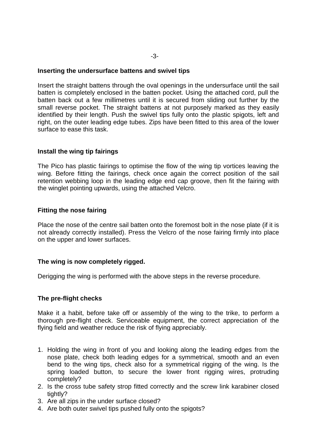#### **Inserting the undersurface battens and swivel tips**

Insert the straight battens through the oval openings in the undersurface until the sail batten is completely enclosed in the batten pocket. Using the attached cord, pull the batten back out a few millimetres until it is secured from sliding out further by the small reverse pocket. The straight battens at not purposely marked as they easily identified by their length. Push the swivel tips fully onto the plastic spigots, left and right, on the outer leading edge tubes. Zips have been fitted to this area of the lower surface to ease this task.

#### **Install the wing tip fairings**

The Pico has plastic fairings to optimise the flow of the wing tip vortices leaving the wing. Before fitting the fairings, check once again the correct position of the sail retention webbing loop in the leading edge end cap groove, then fit the fairing with the winglet pointing upwards, using the attached Velcro.

#### **Fitting the nose fairing**

Place the nose of the centre sail batten onto the foremost bolt in the nose plate (if it is not already correctly installed). Press the Velcro of the nose fairing firmly into place on the upper and lower surfaces.

#### **The wing is now completely rigged.**

Derigging the wing is performed with the above steps in the reverse procedure.

# **The pre-flight checks**

Make it a habit, before take off or assembly of the wing to the trike, to perform a thorough pre-flight check. Serviceable equipment, the correct appreciation of the flying field and weather reduce the risk of flying appreciably.

- 1. Holding the wing in front of you and looking along the leading edges from the nose plate, check both leading edges for a symmetrical, smooth and an even bend to the wing tips, check also for a symmetrical rigging of the wing. Is the spring loaded button, to secure the lower front rigging wires, protruding completely?
- 2. Is the cross tube safety strop fitted correctly and the screw link karabiner closed tightly?
- 3. Are all zips in the under surface closed?
- 4. Are both outer swivel tips pushed fully onto the spigots?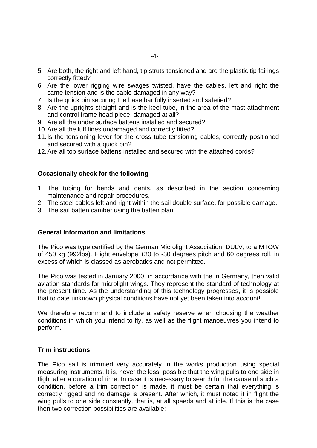- 5. Are both, the right and left hand, tip struts tensioned and are the plastic tip fairings correctly fitted?
- 6. Are the lower rigging wire swages twisted, have the cables, left and right the same tension and is the cable damaged in any way?
- 7. Is the quick pin securing the base bar fully inserted and safetied?
- 8. Are the uprights straight and is the keel tube, in the area of the mast attachment and control frame head piece, damaged at all?
- 9. Are all the under surface battens installed and secured?
- 10.Are all the luff lines undamaged and correctly fitted?
- 11.Is the tensioning lever for the cross tube tensioning cables, correctly positioned and secured with a quick pin?
- 12.Are all top surface battens installed and secured with the attached cords?

#### **Occasionally check for the following**

- 1. The tubing for bends and dents, as described in the section concerning maintenance and repair procedures.
- 2. The steel cables left and right within the sail double surface, for possible damage.
- 3. The sail batten camber using the batten plan.

#### **General Information and limitations**

The Pico was type certified by the German Microlight Association, DULV, to a MTOW of 450 kg (992lbs). Flight envelope +30 to -30 degrees pitch and 60 degrees roll, in excess of which is classed as aerobatics and not permitted.

The Pico was tested in January 2000, in accordance with the in Germany, then valid aviation standards for microlight wings. They represent the standard of technology at the present time. As the understanding of this technology progresses, it is possible that to date unknown physical conditions have not yet been taken into account!

We therefore recommend to include a safety reserve when choosing the weather conditions in which you intend to fly, as well as the flight manoeuvres you intend to perform.

#### **Trim instructions**

The Pico sail is trimmed very accurately in the works production using special measuring instruments. It is, never the less, possible that the wing pulls to one side in flight after a duration of time. In case it is necessary to search for the cause of such a condition, before a trim correction is made, it must be certain that everything is correctly rigged and no damage is present. After which, it must noted if in flight the wing pulls to one side constantly, that is, at all speeds and at idle. If this is the case then two correction possibilities are available: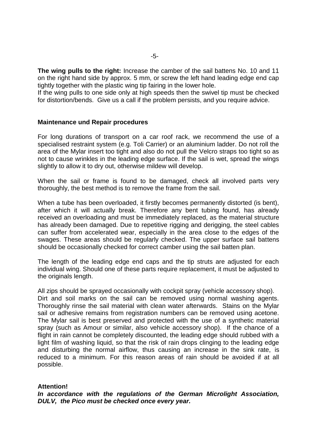**The wing pulls to the right:** Increase the camber of the sail battens No. 10 and 11 on the right hand side by approx. 5 mm, or screw the left hand leading edge end cap tightly together with the plastic wing tip fairing in the lower hole.

If the wing pulls to one side only at high speeds then the swivel tip must be checked for distortion/bends. Give us a call if the problem persists, and you require advice.

#### **Maintenance und Repair procedures**

For long durations of transport on a car roof rack, we recommend the use of a specialised restraint system (e.g. Toli Carrier) or an aluminium ladder. Do not roll the area of the Mylar insert too tight and also do not pull the Velcro straps too tight so as not to cause wrinkles in the leading edge surface. If the sail is wet, spread the wings slightly to allow it to dry out, otherwise mildew will develop.

When the sail or frame is found to be damaged, check all involved parts very thoroughly, the best method is to remove the frame from the sail.

When a tube has been overloaded, it firstly becomes permanently distorted (is bent), after which it will actually break. Therefore any bent tubing found, has already received an overloading and must be immediately replaced, as the material structure has already been damaged. Due to repetitive rigging and derigging, the steel cables can suffer from accelerated wear, especially in the area close to the edges of the swages. These areas should be regularly checked. The upper surface sail battens should be occasionally checked for correct camber using the sail batten plan.

The length of the leading edge end caps and the tip struts are adjusted for each individual wing. Should one of these parts require replacement, it must be adjusted to the originals length.

All zips should be sprayed occasionally with cockpit spray (vehicle accessory shop). Dirt and soil marks on the sail can be removed using normal washing agents. Thoroughly rinse the sail material with clean water afterwards. Stains on the Mylar sail or adhesive remains from registration numbers can be removed using acetone. The Mylar sail is best preserved and protected with the use of a synthetic material spray (such as Amour or similar, also vehicle accessory shop). If the chance of a flight in rain cannot be completely discounted, the leading edge should rubbed with a light film of washing liquid, so that the risk of rain drops clinging to the leading edge and disturbing the normal airflow, thus causing an increase in the sink rate, is reduced to a minimum. For this reason areas of rain should be avoided if at all possible.

# **Attention!**

*In accordance with the regulations of the German Microlight Association, DULV, the Pico must be checked once every year.*